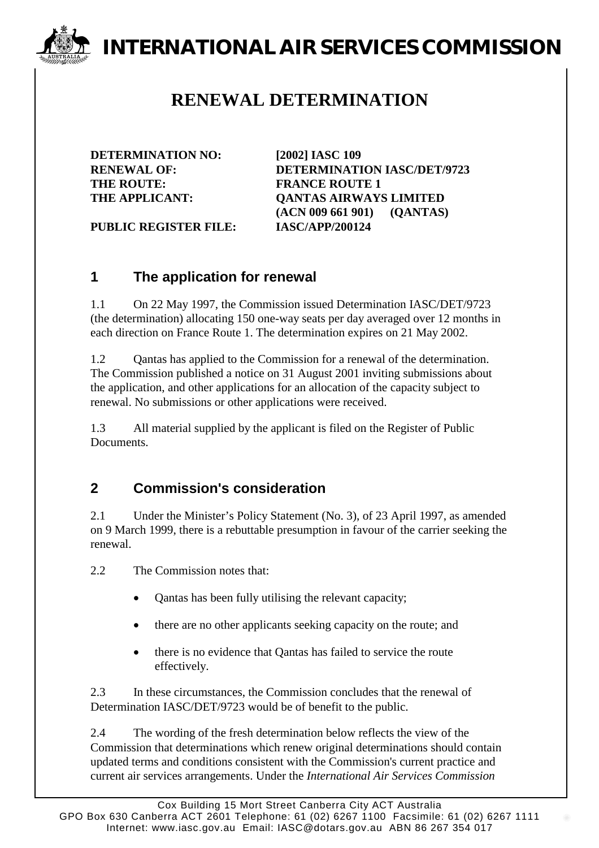# **INTERNATIONAL AIR SERVICES COMMISSION**

## **RENEWAL DETERMINATION**

**DETERMINATION NO: [2002] IASC 109** THE ROUTE: **FRANCE ROUTE 1** 

**RENEWAL OF: DETERMINATION IASC/DET/9723 THE APPLICANT: QANTAS AIRWAYS LIMITED (ACN 009 661 901) (QANTAS)**

**PUBLIC REGISTER FILE: IASC/APP/200124**

#### **1 The application for renewal**

1.1 On 22 May 1997, the Commission issued Determination IASC/DET/9723 (the determination) allocating 150 one-way seats per day averaged over 12 months in each direction on France Route 1. The determination expires on 21 May 2002.

1.2 Qantas has applied to the Commission for a renewal of the determination. The Commission published a notice on 31 August 2001 inviting submissions about the application, and other applications for an allocation of the capacity subject to renewal. No submissions or other applications were received.

1.3 All material supplied by the applicant is filed on the Register of Public **Documents** 

### **2 Commission's consideration**

2.1 Under the Minister's Policy Statement (No. 3), of 23 April 1997, as amended on 9 March 1999, there is a rebuttable presumption in favour of the carrier seeking the renewal.

2.2 The Commission notes that:

- Qantas has been fully utilising the relevant capacity;
- there are no other applicants seeking capacity on the route; and
- there is no evidence that Qantas has failed to service the route effectively.

2.3 In these circumstances, the Commission concludes that the renewal of Determination IASC/DET/9723 would be of benefit to the public.

2.4 The wording of the fresh determination below reflects the view of the Commission that determinations which renew original determinations should contain updated terms and conditions consistent with the Commission's current practice and current air services arrangements. Under the *International Air Services Commission*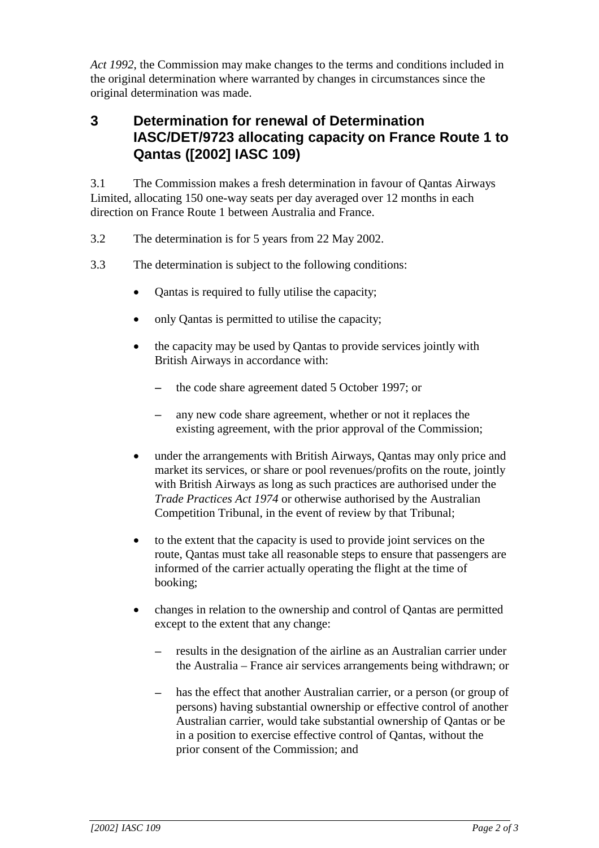*Act 1992*, the Commission may make changes to the terms and conditions included in the original determination where warranted by changes in circumstances since the original determination was made.

#### **3 Determination for renewal of Determination IASC/DET/9723 allocating capacity on France Route 1 to Qantas ([2002] IASC 109)**

3.1 The Commission makes a fresh determination in favour of Qantas Airways Limited, allocating 150 one-way seats per day averaged over 12 months in each direction on France Route 1 between Australia and France.

- 3.2 The determination is for 5 years from 22 May 2002.
- 3.3 The determination is subject to the following conditions:
	- Qantas is required to fully utilise the capacity;
	- only Qantas is permitted to utilise the capacity;
	- the capacity may be used by Qantas to provide services jointly with British Airways in accordance with:
		- the code share agreement dated 5 October 1997; or
		- any new code share agreement, whether or not it replaces the existing agreement, with the prior approval of the Commission;
	- under the arrangements with British Airways, Qantas may only price and market its services, or share or pool revenues/profits on the route, jointly with British Airways as long as such practices are authorised under the *Trade Practices Act 1974* or otherwise authorised by the Australian Competition Tribunal, in the event of review by that Tribunal;
	- to the extent that the capacity is used to provide joint services on the route, Qantas must take all reasonable steps to ensure that passengers are informed of the carrier actually operating the flight at the time of booking;
	- changes in relation to the ownership and control of Qantas are permitted except to the extent that any change:
		- results in the designation of the airline as an Australian carrier under the Australia – France air services arrangements being withdrawn; or
		- has the effect that another Australian carrier, or a person (or group of persons) having substantial ownership or effective control of another Australian carrier, would take substantial ownership of Qantas or be in a position to exercise effective control of Qantas, without the prior consent of the Commission; and